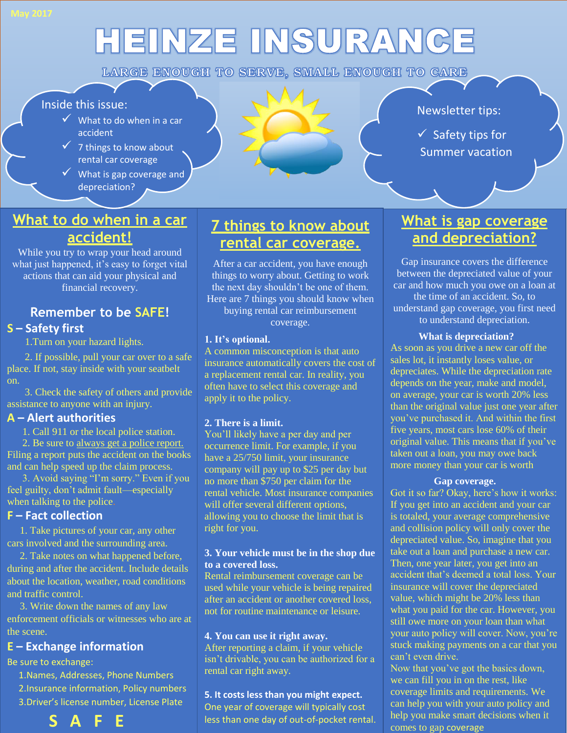# HEINZE INSURANCE

LARGE ENOUGH TO SERVE, SMALL ENOUGH TO CARE

#### Inside this issue:

- $\checkmark$  What to do when in a car accident
- $\overline{\phantom{0}}$  accident<br>  $\overline{\phantom{0}}$  7 things to know about rental car coverage
- $\mathsf{I}$  What is gap coverage and depreciation?

# $IM_1$

#### Newsletter tips:

 $\checkmark$  Safety tips for Summer vacation

## **What to do when in a car accident!**

While you try to wrap your head around what just happened, it's easy to forget vital actions that can aid your physical and financial recovery.

# **Remember to be SAFE!**

#### **S – Safety first**

1.Turn on your hazard lights.

 2. If possible, pull your car over to a safe place. If not, stay inside with your seatbelt on.

 3. Check the safety of others and provide assistance to anyone with an injury.

#### **A – Alert authorities**

1. Call 911 or the local police station.

 2. Be sure to always get a police report. Filing a report puts the accident on the books and can help speed up the claim process.

 3. Avoid saying "I'm sorry." Even if you feel guilty, don't admit fault—especially when talking to the police.

#### **F – Fact collection**

 1. Take pictures of your car, any other cars involved and the surrounding area.

 2. Take notes on what happened before, during and after the accident. Include details about the location, weather, road conditions and traffic control.

 3. Write down the names of any law enforcement officials or witnesses who are at the scene.

#### **E – Exchange information**

Be sure to exchange:

 1.Names, Addresses, Phone Numbers 2.Insurance information, Policy numbers 3.Driver's license number, License Plate



## **7 things to know about rental car coverage.**

After a car accident, you have enough things to worry about. Getting to work the next day shouldn't be one of them. Here are 7 things you should know when buying rental car reimbursement

coverage.

#### **1. It's optional.**

A common misconception is that auto insurance automatically covers the cost of a replacement rental car. In reality, you often have to select this coverage and apply it to the policy.

#### **2. There is a limit.**

You'll likely have a per day and per occurrence limit. For example, if you have a 25/750 limit, your insurance company will pay up to \$25 per day but no more than \$750 per claim for the rental vehicle. Most insurance companies will offer several different options, allowing you to choose the limit that is right for you.

#### **3. Your vehicle must be in the shop due to a covered loss.**

Rental reimbursement coverage can be used while your vehicle is being repaired after an accident or another covered loss, not for routine maintenance or leisure.

#### **4. You can use it right away.**

After reporting a claim, if your vehicle isn't drivable, you can be authorized for a rental car right away.

#### **5. It costs less than you might expect.** One year of coverage will typically cost

less than one day of out-of-pocket rental.

# **What is gap coverage and depreciation?**

Gap insurance covers the difference between the depreciated value of your car and how much you owe on a loan at the time of an accident. So, to understand gap coverage, you first need to understand depreciation.

#### **What is depreciation?**

As soon as you drive a new car off the sales lot, it instantly loses value, or depreciates. While the depreciation rate depends on the year, make and model, on average, your car is worth 20% less than the original value just one year after you've purchased it. And within the first five years, most cars lose 60% of their original value. This means that if you've taken out a loan, you may owe back more money than your car is worth

#### **Gap coverage.**

Got it so far? Okay, here's how it works: If you get into an accident and your car is totaled, your average comprehensive and collision policy will only cover the depreciated value. So, imagine that you take out a loan and purchase a new car. Then, one year later, you get into an accident that's deemed a total loss. Your insurance will cover the depreciated value, which might be 20% less than what you paid for the car. However, you still owe more on your loan than what your auto policy will cover. Now, you're stuck making payments on a car that you can't even drive.

Now that you've got the basics down, we can fill you in on the rest, like coverage limits and requirements. We can help you with your auto policy and help you make smart decisions when it comes to gap coverage